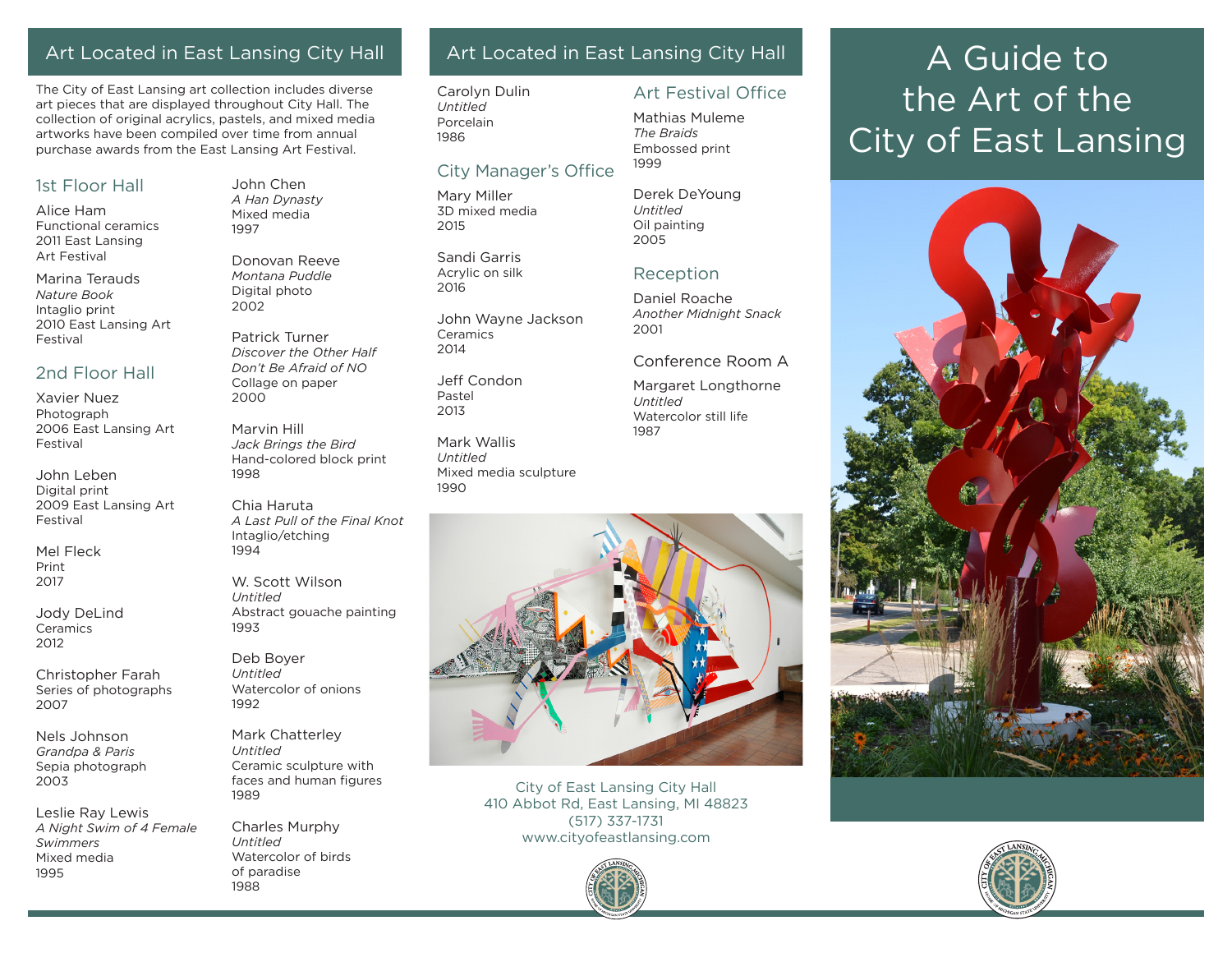## Art Located in East Lansing City Hall

The City of East Lansing art collection includes diverse art pieces that are displayed throughout City Hall. The collection of original acrylics, pastels, and mixed media artworks have been compiled over time from annual purchase awards from the East Lansing Art Festival.

#### 1st Floor Hall

Alice Ham Functional ceramics 2011 East Lansing Art Festival

Marina Terauds *Nature Book* Intaglio print 2010 East Lansing Art Festival

### 2nd Floor Hall

Xavier Nuez Photograph 2006 East Lansing Art Festival

John Leben Digital print 2009 East Lansing Art Festival

Mel Fleck Print 2017

Jody DeLind **Ceramics** 2012

Christopher Farah Series of photographs 2007

Nels Johnson *Grandpa & Paris* Sepia photograph 2003

Leslie Ray Lewis *A Night Swim of 4 Female Swimmers* Mixed media 1995

John Chen *A Han Dynasty* Mixed media 1997

Donovan Reeve *Montana Puddle* Digital photo 2002

Patrick Turner *Discover the Other Half Don't Be Afraid of NO* Collage on paper 2000

Marvin Hill *Jack Brings the Bird* Hand-colored block print 1998

Chia Haruta *A Last Pull of the Final Knot* Intaglio/etching 1994

W. Scott Wilson *Untitled*  Abstract gouache painting 1993

Deb Boyer *Untitled* Watercolor of onions 1992

Mark Chatterley *Untitled* Ceramic sculpture with faces and human figures 1989

Charles Murphy *Untitled* Watercolor of birds of paradise 1988

## Art Located in East Lansing City Hall

Art Festival Office

Mathias Muleme *The Braids* Embossed print

Derek DeYoung

Reception Daniel Roache *Another Midnight Snack*

Conference Room A Margaret Longthorne

Watercolor still life

1999

*Untitled* Oil painting 2005

2001

*Untitled*

1987

Carolyn Dulin *Untitled* Porcelain 1986

### City Manager's Office

Mary Miller 3D mixed media 2015

Sandi Garris Acrylic on silk 2016

John Wayne Jackson Ceramics 2014

Jeff Condon Pastel 2013

Mark Wallis *Untitled* Mixed media sculpture 1990



City of East Lansing City Hall 410 Abbot Rd, East Lansing, MI 48823 (517) 337-1731 www.cityofeastlansing.com



# A Guide to the Art of the City of East Lansing